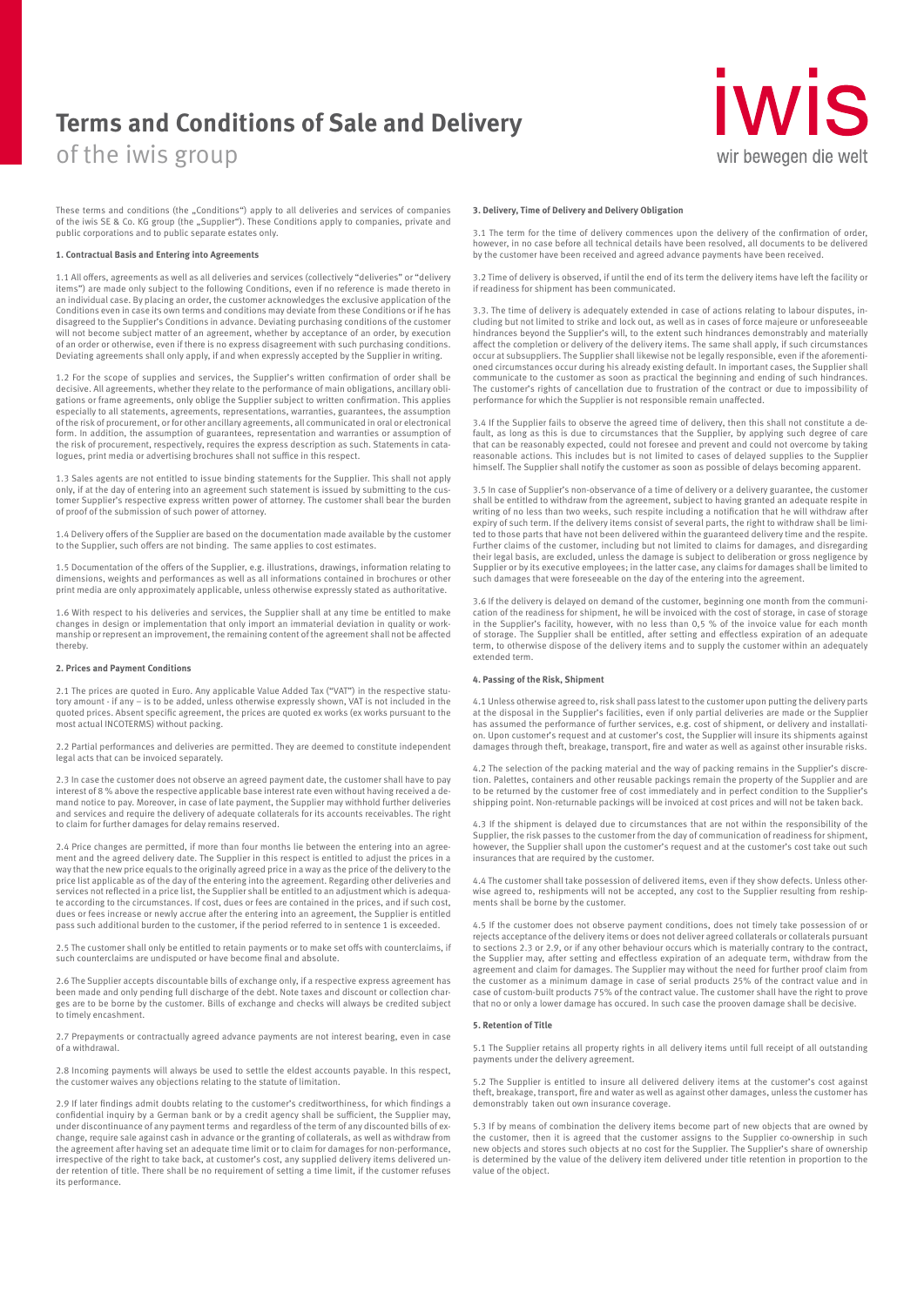# **Terms and Conditions of Sale and Delivery**

of the iwis group

# **IWIS** wir bewegen die welt

These terms and conditions (the "Conditions") apply to all deliveries and services of companies<br>of the iwis SE & Co. KG group (the "Supplier"). These Conditions apply to companies, private and public corporations and to public separate estates only.

#### **1. Contractual Basis and Entering into Agreements**

1.1 All offers, agreements as well as all deliveries and services (collectively "deliveries" or "delivery items") are made only subject to the following Conditions, even if no reference is made thereto in an individual case. By placing an order, the customer acknowledges the exclusive application of the Conditions even in case its own terms and conditions may deviate from these Conditions or if he has disagreed to the Supplier's Conditions in advance. Deviating purchasing conditions of the customer will not become subject matter of an agreement, whether by acceptance of an order, by execution of an order or otherwise, even if there is no express disagreement with such purchasing conditions. Deviating agreements shall only apply, if and when expressly accepted by the Supplier in writing.

1.2 For the scope of supplies and services, the Supplier's written confirmation of order shall be decisive. All agreements, whether they relate to the performance of main obligations, ancillary obligations or frame agreements, only oblige the Supplier subject to written confirmation. This applies especially to all statements, agreements, representations, warranties, guarantees, the assumption of the risk of procurement, or for other ancillary agreements, all communicated in oral or electronical form. In addition, the assumption of guarantees, representation and warranties or assumption of the risk of procurement, respectively, requires the express description as such. Statements in catalogues, print media or advertising brochures shall not suffice in this respect.

1.3 Sales agents are not entitled to issue binding statements for the Supplier. This shall not apply only, if at the day of entering into an agreement such statement is issued by submitting to the cus-tomer Supplier's respective express written power of attorney. The customer shall bear the burden of proof of the submission of such power of attorney.

1.4 Delivery offers of the Supplier are based on the documentation made available by the customer to the Supplier, such offers are not binding. The same applies to cost estimates.

1.5 Documentation of the offers of the Supplier, e.g. illustrations, drawings, information relating to dimensions, weights and performances as well as all informations contained in brochures or other print media are only approximately applicable, unless otherwise expressly stated as authoritative.

1.6 With respect to his deliveries and services, the Supplier shall at any time be entitled to make changes in design or implementation that only import an immaterial deviation in quality or workmanship or represent an improvement, the remaining content of the agreement shall not be affected thereby.

### **2. Prices and Payment Conditions**

2.1 The prices are quoted in Euro. Any applicable Value Added Tax ("VAT") in the respective statu-tory amount - if any – is to be added, unless otherwise expressly shown, VAT is not included in the quoted prices. Absent specific agreement, the prices are quoted ex works (ex works pursuant to the most actual INCOTERMS) without packing.

2.2 Partial performances and deliveries are permitted. They are deemed to constitute independent legal acts that can be invoiced separately.

2.3 In case the customer does not observe an agreed payment date, the customer shall have to pay interest of 8 % above the respective applicable base interest rate even without having received a de-mand notice to pay. Moreover, in case of late payment, the Supplier may withhold further deliveries and services and require the delivery of adequate collaterals for its accounts receivables. The right to claim for further damages for delay remains reserved.

2.4 Price changes are permitted, if more than four months lie between the entering into an agreement and the agreed delivery date. The Supplier in this respect is entitled to adjust the prices in a way that the new price equals to the originally agreed price in a way as the price of the delivery to the price list applicable as of the day of the entering into the agreement. Regarding other deliveries and services not reflected in a price list, the Supplier shall be entitled to an adjustment which is adequate according to the circumstances. If cost, dues or fees are contained in the prices, and if such cost, dues or fees increase or newly accrue after the entering into an agreement, the Supplier is entitled pass such additional burden to the customer, if the period referred to in sentence 1 is exceeded.

2.5 The customer shall only be entitled to retain payments or to make set offs with counterclaims, if such counterclaims are undisputed or have become final and absolute.

2.6 The Supplier accepts discountable bills of exchange only, if a respective express agreement has been made and only pending full discharge of the debt. Note taxes and discount or collection charges are to be borne by the customer. Bills of exchange and checks will always be credited subject to timely encashment.

2.7 Prepayments or contractually agreed advance payments are not interest bearing, even in case of a withdrawal.

2.8 Incoming payments will always be used to settle the eldest accounts payable. In this respect, the customer waives any objections relating to the statute of limitation.

2.9 If later findings admit doubts relating to the customer's creditworthiness, for which findings a confidential inquiry by a German bank or by a credit agency shall be sufficient, the Supplier may, under discontinuance of any payment terms and regardless of the term of any discounted bills of ex-change, require sale against cash in advance or the granting of collaterals, as well as withdraw from the agreement after having set an adequate time limit or to claim for damages for non-performance, irrespective of the right to take back, at customer's cost, any supplied delivery items delivered under retention of title. There shall be no requirement of setting a time limit, if the customer refuses its performance.

### **3. Delivery, Time of Delivery and Delivery Obligation**

3.1 The term for the time of delivery commences upon the delivery of the confirmation of order, however, in no case before all technical details have been resolved, all documents to be delivered by the customer have been received and agreed advance payments have been received.

3.2 Time of delivery is observed, if until the end of its term the delivery items have left the facility or if readiness for shipment has been communicated.

3.3. The time of delivery is adequately extended in case of actions relating to labour disputes, including but not limited to strike and lock out, as well as in cases of force majeure or unforeseeable hindrances beyond the Supplier's will, to the extent such hindrances demonstrably and materially affect the completion or delivery of the delivery items. The same shall apply, if such circumstances occur at subsuppliers. The Supplier shall likewise not be legally responsible, even if the aforementi-oned circumstances occur during his already existing default. In important cases, the Supplier shall communicate to the customer as soon as practical the beginning and ending of such hindrances. The customer's rights of cancellation due to frustration of the contract or due to impossibility of performance for which the Supplier is not responsible remain unaffected.

3.4 If the Supplier fails to observe the agreed time of delivery, then this shall not constitute a default, as long as this is due to circumstances that the Supplier, by applying such degree of care that can be reasonably expected, could not foresee and prevent and could not overcome by taking reasonable actions. This includes but is not limited to cases of delayed supplies to the Supplier himself. The Supplier shall notify the customer as soon as possible of delays becoming apparent.

3.5 In case of Supplier's non-observance of a time of delivery or a delivery guarantee, the customer shall be entitled to withdraw from the agreement, subject to having granted an adequate respite in writing of no less than two weeks, such respite including a notification that he will withdraw after expiry of such term. If the delivery items consist of several parts, the right to withdraw shall be limited to those parts that have not been delivered within the guaranteed delivery time and the respite. Further claims of the customer, including but not limited to claims for damages, and disregarding their legal basis, are excluded, unless the damage is subject to deliberation or gross negligence by Supplier or by its executive employees; in the latter case, any claims for damages shall be limited to such damages that were foreseeable on the day of the entering into the agreement.

3.6 If the delivery is delayed on demand of the customer, beginning one month from the communication of the readiness for shipment, he will be invoiced with the cost of storage, in case of storage in the Supplier's facility, however, with no less than 0,5 % of the invoice value for each month of storage. The Supplier shall be entitled, after setting and effectless expiration of an adequate term, to otherwise dispose of the delivery items and to supply the customer within an adequately extended term.

### **4. Passing of the Risk, Shipment**

4.1 Unless otherwise agreed to, risk shall pass latest to the customer upon putting the delivery parts at the disposal in the Supplier's facilities, even if only partial deliveries are made or the Supplier has assumed the performance of further services, e.g. cost of shipment, or delivery and installati-on. Upon customer's request and at customer's cost, the Supplier will insure its shipments against damages through theft, breakage, transport, fire and water as well as against other insurable risks.

4.2 The selection of the packing material and the way of packing remains in the Supplier's discretion. Palettes, containers and other reusable packings remain the property of the Supplier and are to be returned by the customer free of cost immediately and in perfect condition to the Supplier's shipping point. Non-returnable packings will be invoiced at cost prices and will not be taken back.

4.3 If the shipment is delayed due to circumstances that are not within the responsibility of the Supplier, the risk passes to the customer from the day of communication of readiness for shipment, however, the Supplier shall upon the customer's request and at the customer's cost take out such insurances that are required by the customer.

4.4 The customer shall take possession of delivered items, even if they show defects. Unless otherwise agreed to, reshipments will not be accepted, any cost to the Supplier resulting from reshipments shall be borne by the customer.

4.5 If the customer does not observe payment conditions, does not timely take possession of or rejects acceptance of the delivery items or does not deliver agreed collaterals or collaterals pursuant to sections 2.3 or 2.9, or if any other behaviour occurs which is materially contrary to the contract, the Supplier may, after setting and effectless expiration of an adequate term, withdraw from the agreement and claim for damages. The Supplier may without the need for further proof claim from the customer as a minimum damage in case of serial products 25% of the contract value and in case of custom-built products 75% of the contract value. The customer shall have the right to prove that no or only a lower damage has occured. In such case the prooven damage shall be decisive.

### **5. Retention of Title**

5.1 The Supplier retains all property rights in all delivery items until full receipt of all outstanding payments under the delivery agreement.

5.2 The Supplier is entitled to insure all delivered delivery items at the customer's cost against theft, breakage, transport, fire and water as well as against other damages, unless the customer has the ft, breakage, transport, fire and water as well as against other damages, unless the customer has demonstrably taken out own insurance coverage.

5.3 If by means of combination the delivery items become part of new objects that are owned by the customer, then it is agreed that the customer assigns to the Supplier co-ownership in such new objects and stores such objects at no cost for the Supplier. The Supplier's share of ownership is determined by the value of the delivery item delivered under title retention in proportion to the value of the object